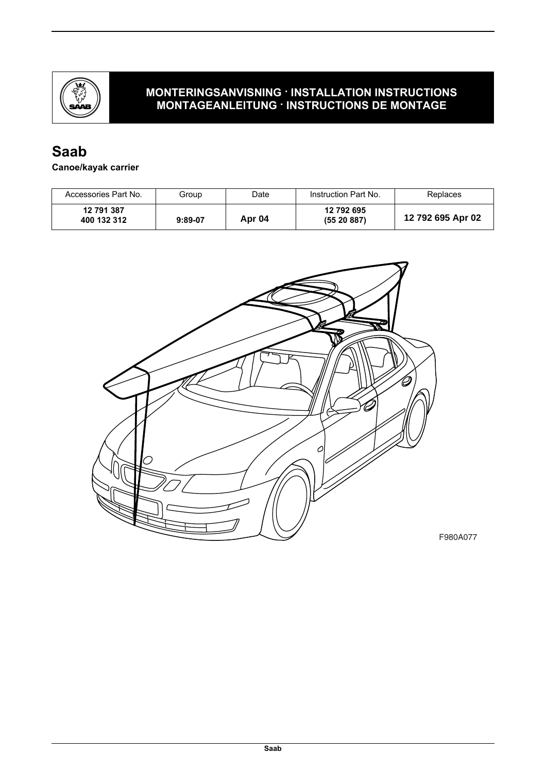

# **Saab**

#### **Canoe/kayak carrier**

| Accessories Part No.      | Group     | Date   | Instruction Part No.    | Replaces          |
|---------------------------|-----------|--------|-------------------------|-------------------|
| 12 791 387<br>400 132 312 | $9:89-07$ | Apr 04 | 12 792 695<br>(5520887) | 12 792 695 Apr 02 |

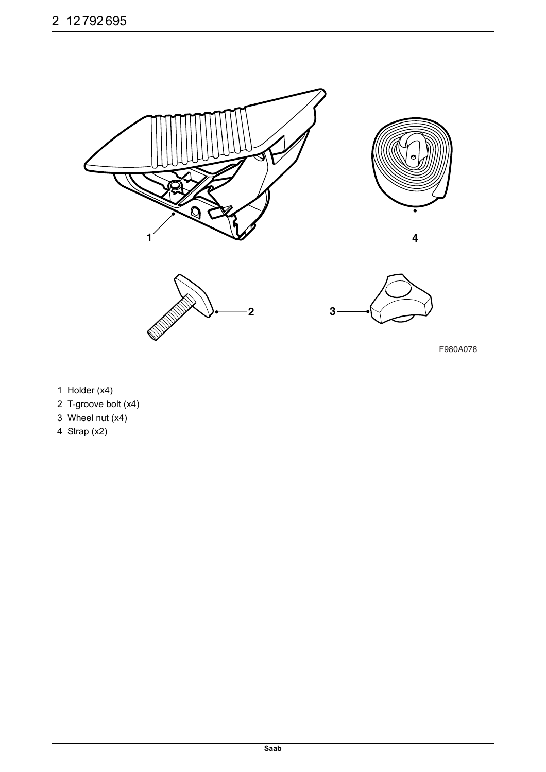

F980A078

- 1 Holder (x4)
- 2 T-groove bolt (x4)
- 3 Wheel nut  $(x4)$
- 4 Strap (x2)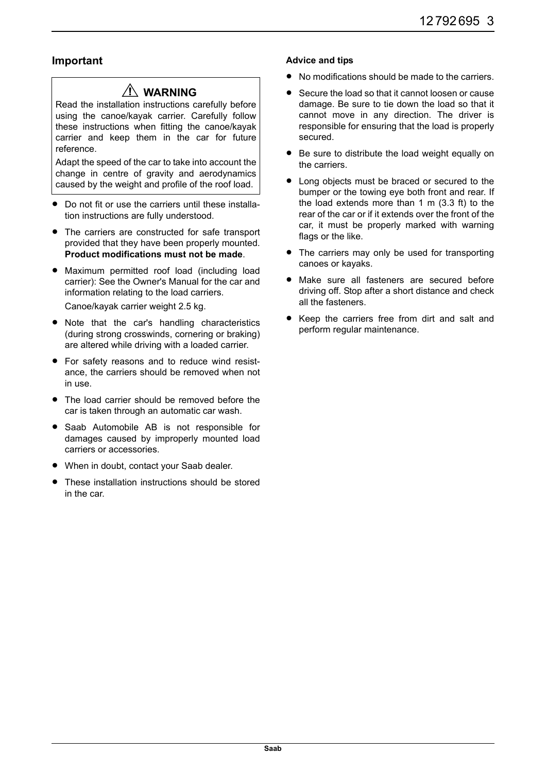### **Important**

## **WARNING**

Read the installation instructions carefully before using the canoe/kayak carrier. Carefully follow these instructions when fitting the canoe/kayak carrier and keep them in the car for future reference.

Adapt the speed of the car to take into account the change in centre of gravity and aerodynamics caused by the weight and profile of the roof load.

- Do not fit or use the carriers until these installation instructions are fully understood.
- The carriers are constructed for safe transport provided that they have been properly mounted. **Product modifications must not be made**.
- Maximum permitted roof load (including load carrier): See the Owner's Manual for the car and information relating to the load carriers. Canoe/kayak carrier weight 2.5 kg.
- Note that the car's handling characteristics (during strong crosswinds, cornering or braking) are altered while driving with a loaded carrier.
- For safety reasons and to reduce wind resistance, the carriers should be removed when not in use.
- The load carrier should be removed before the car is taken through an automatic car wash.
- Saab Automobile AB is not responsible for damages caused by improperly mounted load carriers or accessories.
- When in doubt, contact your Saab dealer.
- These installation instructions should be stored in the car.

#### **Advice and tips**

- No modifications should be made to the carriers.
- Secure the load so that it cannot loosen or cause damage. Be sure to tie down the load so that it cannot move in any direction. The driver is responsible for ensuring that the load is properly secured.
- Be sure to distribute the load weight equally on the carriers.
- Long objects must be braced or secured to the bumper or the towing eye both front and rear. If the load extends more than 1 m (3.3 ft) to the rear of the car or if it extends over the front of the car, it must be properly marked with warning flags or the like.
- The carriers may only be used for transporting canoes or kayaks.
- Make sure all fasteners are secured before driving off. Stop after a short distance and check all the fasteners.
- Keep the carriers free from dirt and salt and perform regular maintenance.